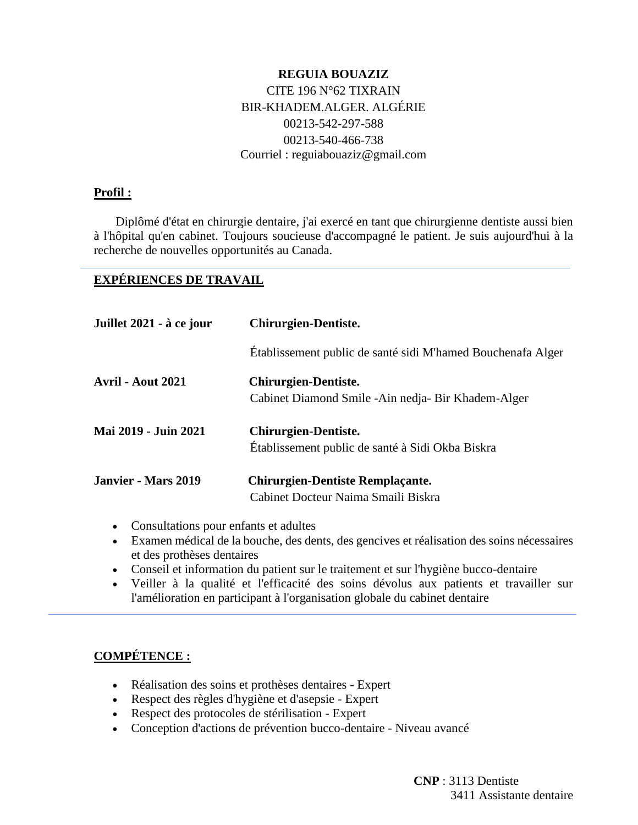## **REGUIA BOUAZIZ** CITE 196 N°62 TIXRAIN BIR-KHADEM.ALGER. ALGÉRIE 00213-542-297-588 00213-540-466-738 Courriel : reguiabouaziz@gmail.com

#### **Profil :**

 Diplômé d'état en chirurgie dentaire, j'ai exercé en tant que chirurgienne dentiste aussi bien à l'hôpital qu'en cabinet. Toujours soucieuse d'accompagné le patient. Je suis aujourd'hui à la recherche de nouvelles opportunités au Canada.

#### **EXPÉRIENCES DE TRAVAIL**

| Juillet 2021 - à ce jour   | <b>Chirurgien-Dentiste.</b>                                                         |
|----------------------------|-------------------------------------------------------------------------------------|
|                            | Établissement public de santé sidi M'hamed Bouchenafa Alger                         |
| <b>Avril - Aout 2021</b>   | <b>Chirurgien-Dentiste.</b><br>Cabinet Diamond Smile - Ain nedja - Bir Khadem-Alger |
| Mai 2019 - Juin 2021       | <b>Chirurgien-Dentiste.</b><br>Etablissement public de santé à Sidi Okba Biskra     |
| <b>Janvier - Mars 2019</b> | <b>Chirurgien-Dentiste Remplaçante.</b><br>Cabinet Docteur Naima Smaili Biskra      |

- Consultations pour enfants et adultes
- Examen médical de la bouche, des dents, des gencives et réalisation des soins nécessaires et des prothèses dentaires
- Conseil et information du patient sur le traitement et sur l'hygiène bucco-dentaire
- Veiller à la qualité et l'efficacité des soins dévolus aux patients et travailler sur l'amélioration en participant à l'organisation globale du cabinet dentaire

# **COMPÉTENCE :**

- Réalisation des soins et prothèses dentaires Expert
- Respect des règles d'hygiène et d'asepsie Expert
- Respect des protocoles de stérilisation Expert
- Conception d'actions de prévention bucco-dentaire Niveau avancé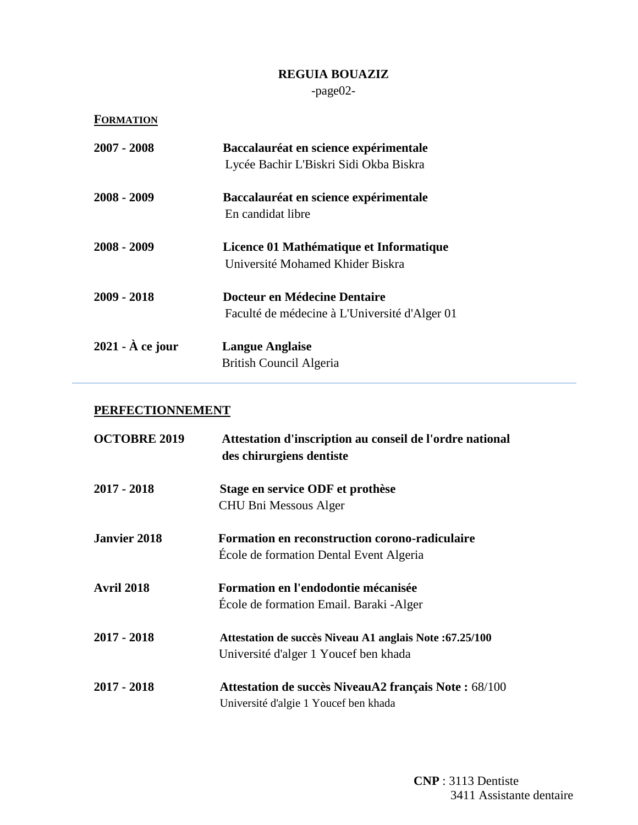-page02-

| <b>FORMATION</b>         |                                               |
|--------------------------|-----------------------------------------------|
| 2007 - 2008              | Baccalauréat en science expérimentale         |
|                          | Lycée Bachir L'Biskri Sidi Okba Biskra        |
| 2008 - 2009              | Baccalauréat en science expérimentale         |
|                          | En candidat libre                             |
| 2008 - 2009              | Licence 01 Mathématique et Informatique       |
|                          | Université Mohamed Khider Biskra              |
| 2009 - 2018              | Docteur en Médecine Dentaire                  |
|                          | Faculté de médecine à L'Université d'Alger 01 |
| $2021 - \hat{A}$ ce jour | <b>Langue Anglaise</b>                        |
|                          | British Council Algeria                       |

# **PERFECTIONNEMENT**

| <b>OCTOBRE 2019</b> | Attestation d'inscription au conseil de l'ordre national<br>des chirurgiens dentiste              |
|---------------------|---------------------------------------------------------------------------------------------------|
| $2017 - 2018$       | Stage en service ODF et prothèse<br>CHU Bni Messous Alger                                         |
| <b>Janvier 2018</b> | <b>Formation en reconstruction corono-radiculaire</b><br>École de formation Dental Event Algeria  |
| <b>Avril 2018</b>   | Formation en l'endodontie mécanisée<br>Ecole de formation Email. Baraki - Alger                   |
| $2017 - 2018$       | Attestation de succès Niveau A1 anglais Note : 67.25/100<br>Université d'alger 1 Youcef ben khada |
| $2017 - 2018$       | Attestation de succès NiveauA2 français Note : 68/100<br>Université d'algie 1 Youcef ben khada    |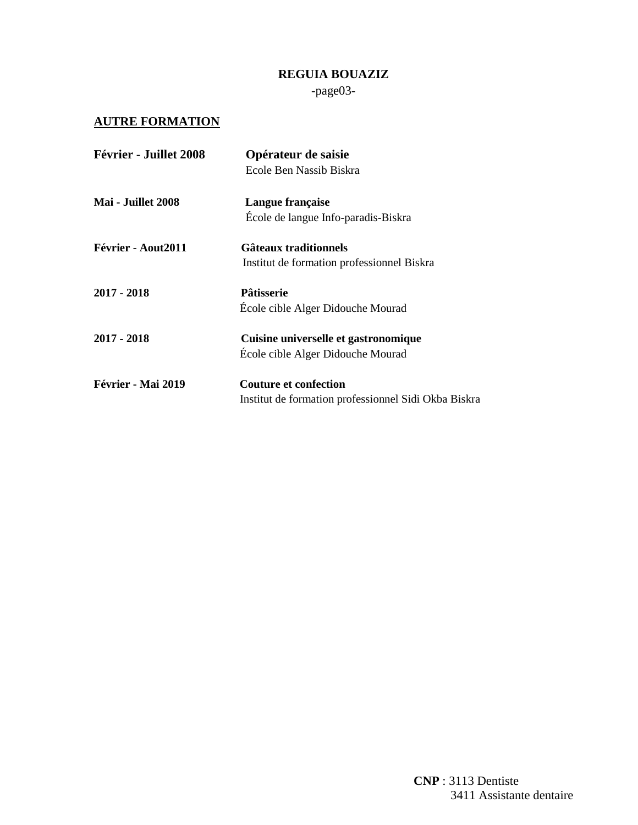-page03-

## **AUTRE FORMATION**

| Février - Juillet 2008 | Opérateur de saisie                                  |
|------------------------|------------------------------------------------------|
|                        | Ecole Ben Nassib Biskra                              |
| Mai - Juillet 2008     | Langue française                                     |
|                        | École de langue Info-paradis-Biskra                  |
| Février - Aout2011     | <b>Gâteaux traditionnels</b>                         |
|                        | Institut de formation professionnel Biskra           |
| 2017 - 2018            | Pâtisserie                                           |
|                        | École cible Alger Didouche Mourad                    |
| $2017 - 2018$          | Cuisine universelle et gastronomique                 |
|                        | École cible Alger Didouche Mourad                    |
| Février - Mai 2019     | <b>Couture et confection</b>                         |
|                        | Institut de formation professionnel Sidi Okba Biskra |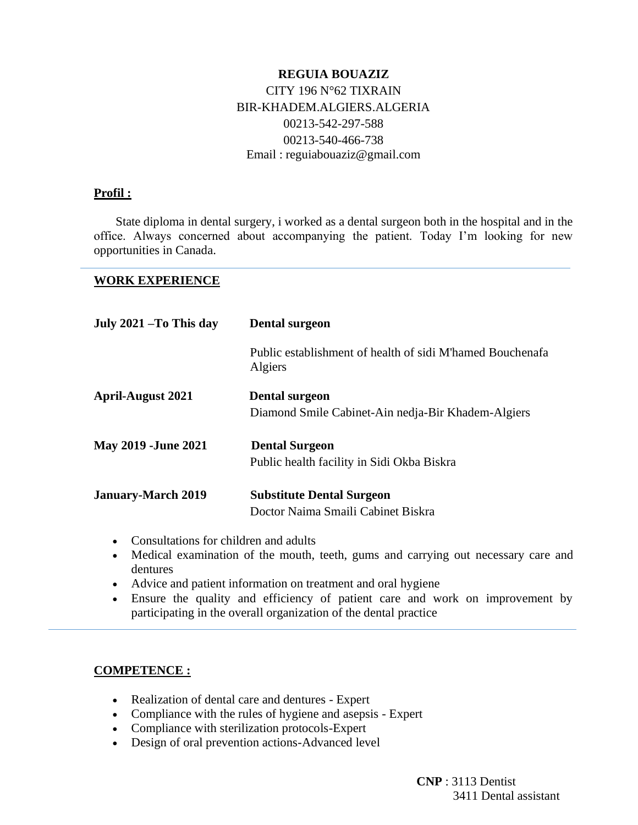### **REGUIA BOUAZIZ** CITY 196 N°62 TIXRAIN BIR-KHADEM.ALGIERS.ALGERIA 00213-542-297-588 00213-540-466-738 Email : reguiabouaziz@gmail.com

#### **Profil :**

 State diploma in dental surgery, i worked as a dental surgeon both in the hospital and in the office. Always concerned about accompanying the patient. Today I'm looking for new opportunities in Canada.

**WORK EXPERIENCE**

| July 2021 –To This day     | Dental surgeon                                                              |
|----------------------------|-----------------------------------------------------------------------------|
|                            | Public establishment of health of sidi M'hamed Bouchenafa<br>Algiers        |
| April-August 2021          | <b>Dental surgeon</b><br>Diamond Smile Cabinet-Ain nedja-Bir Khadem-Algiers |
| <b>May 2019 -June 2021</b> | <b>Dental Surgeon</b><br>Public health facility in Sidi Okba Biskra         |
| January-March 2019         | <b>Substitute Dental Surgeon</b><br>Doctor Naima Smaili Cabinet Biskra      |

- Consultations for children and adults
- Medical examination of the mouth, teeth, gums and carrying out necessary care and dentures
- Advice and patient information on treatment and oral hygiene
- Ensure the quality and efficiency of patient care and work on improvement by participating in the overall organization of the dental practice

#### **COMPETENCE :**

- Realization of dental care and dentures Expert
- Compliance with the rules of hygiene and asepsis Expert
- Compliance with sterilization protocols-Expert
- Design of oral prevention actions-Advanced level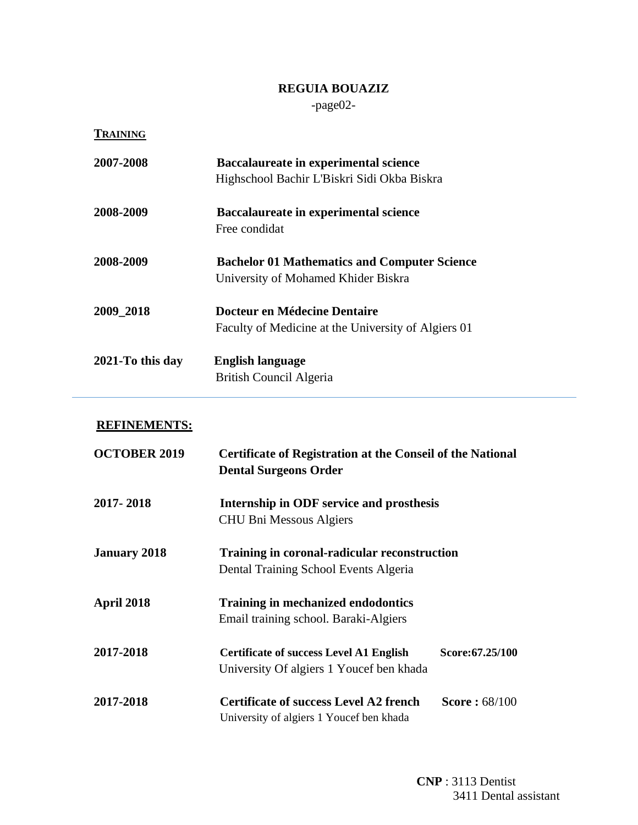-page02-

**TRAINING**

| 2007-2008        | <b>Baccalaureate in experimental science</b><br>Highschool Bachir L'Biskri Sidi Okba Biskra |
|------------------|---------------------------------------------------------------------------------------------|
| 2008-2009        | <b>Baccalaureate in experimental science</b><br>Free condidat                               |
| 2008-2009        | <b>Bachelor 01 Mathematics and Computer Science</b><br>University of Mohamed Khider Biskra  |
| 2009 2018        | Docteur en Médecine Dentaire<br>Faculty of Medicine at the University of Algiers 01         |
| 2021-To this day | <b>English language</b><br>British Council Algeria                                          |

## **REFINEMENTS:**

| <b>OCTOBER 2019</b> | <b>Certificate of Registration at the Conseil of the National</b><br><b>Dental Surgeons Order</b> |                      |
|---------------------|---------------------------------------------------------------------------------------------------|----------------------|
| 2017-2018           | Internship in ODF service and prosthesis<br><b>CHU Bni Messous Algiers</b>                        |                      |
| <b>January 2018</b> | Training in coronal-radicular reconstruction<br>Dental Training School Events Algeria             |                      |
| April 2018          | <b>Training in mechanized endodontics</b><br>Email training school. Baraki-Algiers                |                      |
| 2017-2018           | <b>Certificate of success Level A1 English</b><br>University Of algiers 1 Youcef ben khada        | Score: 67.25/100     |
| 2017-2018           | <b>Certificate of success Level A2 french</b><br>University of algiers 1 Youcef ben khada         | <b>Score: 68/100</b> |